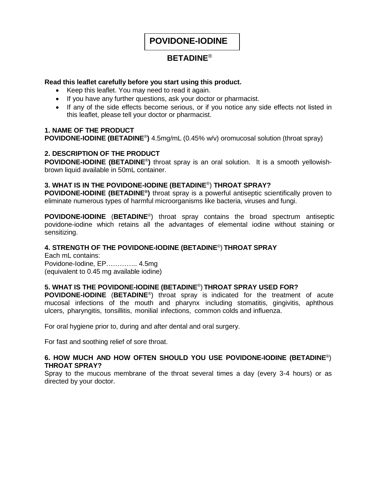**POVIDONE-IODINE**

# **BETADINE**®

# **Read this leaflet carefully before you start using this product.**

- Keep this leaflet. You may need to read it again.
- If you have any further questions, ask your doctor or pharmacist.
- If any of the side effects become serious, or if you notice any side effects not listed in this leaflet, please tell your doctor or pharmacist.

# **1. NAME OF THE PRODUCT**

**POVIDONE-IODINE (BETADINE**® **)** 4.5mg/mL (0.45% w/v) oromucosal solution (throat spray)

# **2. DESCRIPTION OF THE PRODUCT**

**POVIDONE-IODINE (BETADINE**® **)** throat spray is an oral solution. It is a smooth yellowishbrown liquid available in 50mL container.

# **3. WHAT IS IN THE POVIDONE-IODINE (BETADINE**® ) **THROAT SPRAY?**

**POVIDONE-IODINE (BETADINE® )** throat spray is a powerful antiseptic scientifically proven to eliminate numerous types of harmful microorganisms like bacteria, viruses and fungi.

**POVIDONE-IODINE** (**BETADINE**® ) throat spray contains the broad spectrum antiseptic povidone-iodine which retains all the advantages of elemental iodine without staining or sensitizing.

# **4. STRENGTH OF THE POVIDONE-IODINE (BETADINE**® ) **THROAT SPRAY**

Each mL contains: Povidone-Iodine, EP………….. 4.5mg (equivalent to 0.45 mg available iodine)

# **5. WHAT IS THE POVIDONE-IODINE (BETADINE**® ) **THROAT SPRAY USED FOR?**

**POVIDONE-IODINE** (**BETADINE**® ) throat spray is indicated for the treatment of acute mucosal infections of the mouth and pharynx including stomatitis, gingivitis, aphthous ulcers, pharyngitis, tonsillitis, monilial infections, common colds and influenza.

For oral hygiene prior to, during and after dental and oral surgery.

For fast and soothing relief of sore throat.

#### **6. HOW MUCH AND HOW OFTEN SHOULD YOU USE POVIDONE-IODINE (BETADINE**® ) **THROAT SPRAY?**

Spray to the mucous membrane of the throat several times a day (every 3-4 hours) or as directed by your doctor.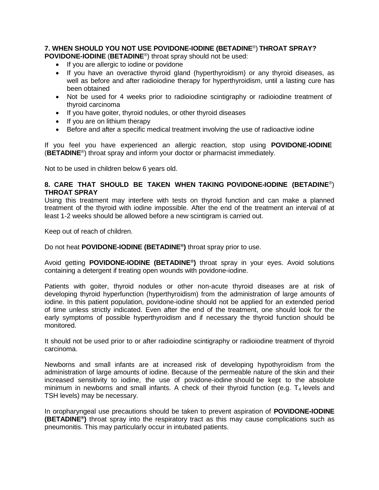# **7. WHEN SHOULD YOU NOT USE POVIDONE-IODINE (BETADINE**® ) **THROAT SPRAY?**

**POVIDONE-IODINE** (**BETADINE**® ) throat spray should not be used:

- If you are allergic to iodine or povidone
- If you have an overactive thyroid gland (hyperthyroidism) or any thyroid diseases, as well as before and after radioiodine therapy for hyperthyroidism, until a lasting cure has been obtained
- Not be used for 4 weeks prior to radioiodine scintigraphy or radioiodine treatment of thyroid carcinoma
- If you have goiter, thyroid nodules, or other thyroid diseases
- If you are on lithium therapy
- Before and after a specific medical treatment involving the use of radioactive iodine

If you feel you have experienced an allergic reaction, stop using **POVIDONE-IODINE** (**BETADINE**® ) throat spray and inform your doctor or pharmacist immediately.

Not to be used in children below 6 years old.

#### **8. CARE THAT SHOULD BE TAKEN WHEN TAKING POVIDONE-IODINE (BETADINE**® ) **THROAT SPRAY**

Using this treatment may interfere with tests on thyroid function and can make a planned treatment of the thyroid with iodine impossible. After the end of the treatment an interval of at least 1-2 weeks should be allowed before a new scintigram is carried out.

Keep out of reach of children.

Do not heat **POVIDONE-IODINE (BETADINE® )** throat spray prior to use.

Avoid getting **POVIDONE-IODINE (BETADINE® )** throat spray in your eyes. Avoid solutions containing a detergent if treating open wounds with povidone-iodine.

Patients with goiter, thyroid nodules or other non-acute thyroid diseases are at risk of developing thyroid hyperfunction (hyperthyroidism) from the administration of large amounts of iodine. In this patient population, povidone-iodine should not be applied for an extended period of time unless strictly indicated. Even after the end of the treatment, one should look for the early symptoms of possible hyperthyroidism and if necessary the thyroid function should be monitored.

It should not be used prior to or after radioiodine scintigraphy or radioiodine treatment of thyroid carcinoma.

Newborns and small infants are at increased risk of developing hypothyroidism from the administration of large amounts of iodine. Because of the permeable nature of the skin and their increased sensitivity to iodine, the use of povidone-iodine should be kept to the absolute minimum in newborns and small infants. A check of their thyroid function (e.g.  $T_4$  levels and TSH levels) may be necessary.

In oropharyngeal use precautions should be taken to prevent aspiration of **POVIDONE-IODINE (BETADINE® )** throat spray into the respiratory tract as this may cause complications such as pneumonitis. This may particularly occur in intubated patients.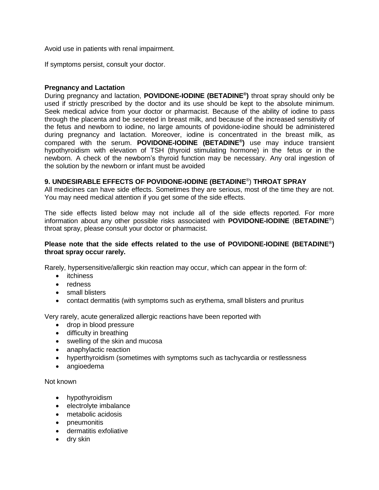Avoid use in patients with renal impairment.

If symptoms persist, consult your doctor.

#### **Pregnancy and Lactation**

During pregnancy and lactation, **POVIDONE-IODINE (BETADINE® )** throat spray should only be used if strictly prescribed by the doctor and its use should be kept to the absolute minimum. Seek medical advice from your doctor or pharmacist. Because of the ability of iodine to pass through the placenta and be secreted in breast milk, and because of the increased sensitivity of the fetus and newborn to iodine, no large amounts of povidone-iodine should be administered during pregnancy and lactation. Moreover, iodine is concentrated in the breast milk, as compared with the serum. **POVIDONE-IODINE (BETADINE® )** use may induce transient hypothyroidism with elevation of TSH (thyroid stimulating hormone) in the fetus or in the newborn. A check of the newborn's thyroid function may be necessary. Any oral ingestion of the solution by the newborn or infant must be avoided

# **9. UNDESIRABLE EFFECTS OF POVIDONE-IODINE (BETADINE**® ) **THROAT SPRAY**

All medicines can have side effects. Sometimes they are serious, most of the time they are not. You may need medical attention if you get some of the side effects.

The side effects listed below may not include all of the side effects reported. For more information about any other possible risks associated with **POVIDONE-IODINE** (**BETADINE**® ) throat spray, please consult your doctor or pharmacist.

#### **Please note that the side effects related to the use of POVIDONE-IODINE (BETADINE® ) throat spray occur rarely.**

Rarely, hypersensitive/allergic skin reaction may occur, which can appear in the form of:

- itchiness
- redness
- small blisters
- contact dermatitis (with symptoms such as erythema, small blisters and pruritus

Very rarely, acute generalized allergic reactions have been reported with

- drop in blood pressure
- difficulty in breathing
- swelling of the skin and mucosa
- anaphylactic reaction
- hyperthyroidism (sometimes with symptoms such as tachycardia or restlessness
- angioedema

Not known

- hypothyroidism
- electrolyte imbalance
- metabolic acidosis
- pneumonitis
- dermatitis exfoliative
- dry skin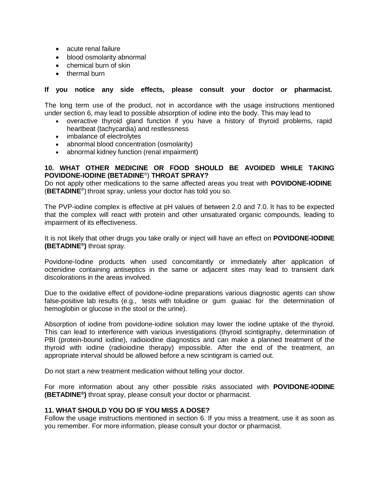- acute renal failure
- blood osmolarity abnormal
- chemical burn of skin
- thermal burn

#### **If you notice any side effects, please consult your doctor or pharmacist.**

The long term use of the product, not in accordance with the usage instructions mentioned under section 6, may lead to possible absorption of iodine into the body. This may lead to

- overactive thyroid gland function if you have a history of thyroid problems, rapid heartbeat (tachycardia) and restlessness
- imbalance of electrolytes
- abnormal blood concentration (osmolarity)
- abnormal kidney function (renal impairment)

#### **10. WHAT OTHER MEDICINE OR FOOD SHOULD BE AVOIDED WHILE TAKING POVIDONE-IODINE (BETADINE**® ) **THROAT SPRAY?**

Do not apply other medications to the same affected areas you treat with **POVIDONE-IODINE** (**BETADINE**® ) throat spray, unless your doctor has told you so.

The PVP-iodine complex is effective at pH values of between 2.0 and 7.0. It has to be expected that the complex will react with protein and other unsaturated organic compounds, leading to impairment of its effectiveness.

It is not likely that other drugs you take orally or inject will have an effect on **POVIDONE-IODINE (BETADINE® )** throat spray.

Povidone-Iodine products when used concomitantly or immediately after application of octenidine containing antiseptics in the same or adjacent sites may lead to transient dark discolorations in the areas involved.

Due to the oxidative effect of povidone-iodine preparations various diagnostic agents can show false-positive lab results (e.g., tests with toluidine or gum guaiac for the determination of hemoglobin or glucose in the stool or the urine).

Absorption of iodine from povidone-iodine solution may lower the iodine uptake of the thyroid. This can lead to interference with various investigations (thyroid scintigraphy, determination of PBI (protein-bound iodine), radioiodine diagnostics and can make a planned treatment of the thyroid with iodine (radioiodine therapy) impossible. After the end of the treatment, an appropriate interval should be allowed before a new scintigram is carried out.

Do not start a new treatment medication without telling your doctor.

For more information about any other possible risks associated with **POVIDONE-IODINE (BETADINE® )** throat spray, please consult your doctor or pharmacist.

#### **11. WHAT SHOULD YOU DO IF YOU MISS A DOSE?**

Follow the usage instructions mentioned in section 6. If you miss a treatment, use it as soon as you remember. For more information, please consult your doctor or pharmacist.